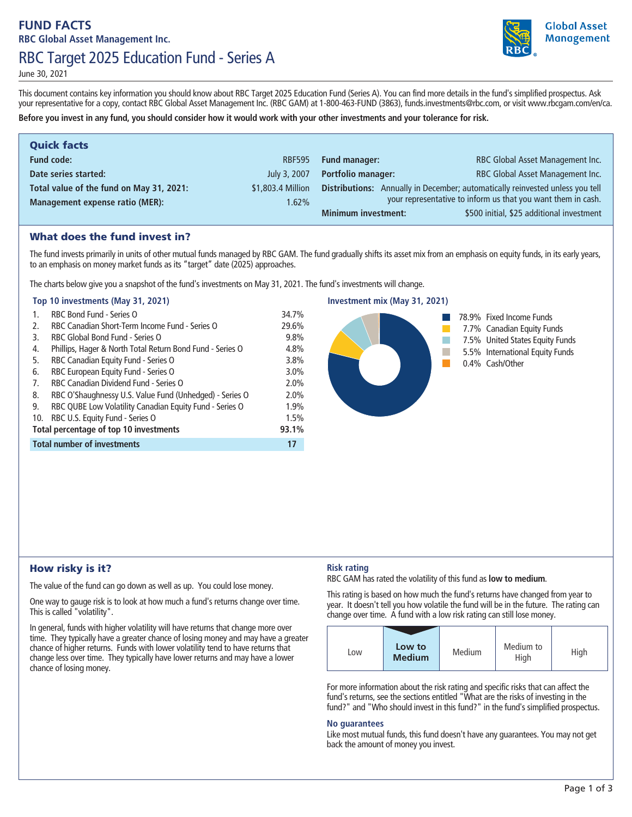# **FUND FACTS RBC Global Asset Management Inc. RBC Target 2025 Education Fund - Series A**



**Global Asset Management** 

**June 30, 2021**

**This document contains key information you should know about RBC Target 2025 Education Fund (Series A). You can find more details in the fund's simplified prospectus. Ask your representative for a copy, contact RBC Global Asset Management Inc. (RBC GAM) at 1-800-463-FUND (3863), funds.investments@rbc.com, or visit www.rbcgam.com/en/ca. Before you invest in any fund, you should consider how it would work with your other investments and your tolerance for risk.**

| <b>Quick facts</b>                       |                   |                            |                                                                               |
|------------------------------------------|-------------------|----------------------------|-------------------------------------------------------------------------------|
| <b>Fund code:</b>                        | <b>RBF595</b>     | <b>Fund manager:</b>       | RBC Global Asset Management Inc.                                              |
| Date series started:                     | July 3, 2007      | <b>Portfolio manager:</b>  | RBC Global Asset Management Inc.                                              |
| Total value of the fund on May 31, 2021: | \$1,803.4 Million |                            | Distributions: Annually in December; automatically reinvested unless you tell |
| <b>Management expense ratio (MER):</b>   | $1.62\%$          |                            | your representative to inform us that you want them in cash.                  |
|                                          |                   | <b>Minimum investment:</b> | \$500 initial, \$25 additional investment                                     |

### What does the fund invest in?

**The fund invests primarily in units of other mutual funds managed by RBC GAM. The fund gradually shifts its asset mix from an emphasis on equity funds, in its early years, to an emphasis on money market funds as its "target" date (2025) approaches.** 

**The charts below give you a snapshot of the fund's investments on May 31, 2021. The fund's investments will change.**

#### **Top 10 investments (May 31, 2021)**

| 1.                                     | RBC Bond Fund - Series O                                  | 34.7% |
|----------------------------------------|-----------------------------------------------------------|-------|
| 2.                                     | RBC Canadian Short-Term Income Fund - Series O            | 29.6% |
| 3.                                     | RBC Global Bond Fund - Series O                           | 9.8%  |
| 4.                                     | Phillips, Hager & North Total Return Bond Fund - Series O | 4.8%  |
| 5.                                     | RBC Canadian Equity Fund - Series O                       | 3.8%  |
| 6.                                     | RBC European Equity Fund - Series O                       | 3.0%  |
| 7.                                     | RBC Canadian Dividend Fund - Series O                     | 2.0%  |
| 8.                                     | RBC O'Shaughnessy U.S. Value Fund (Unhedged) - Series O   | 2.0%  |
| 9.                                     | RBC QUBE Low Volatility Canadian Equity Fund - Series O   | 1.9%  |
| 10.                                    | RBC U.S. Equity Fund - Series O                           | 1.5%  |
| Total percentage of top 10 investments |                                                           | 93.1% |
| <b>Total number of investments</b>     |                                                           |       |



### How risky is it?

**The value of the fund can go down as well as up. You could lose money.**

**One way to gauge risk is to look at how much a fund's returns change over time. This is called "volatility".**

**In general, funds with higher volatility will have returns that change more over time. They typically have a greater chance of losing money and may have a greater chance of higher returns. Funds with lower volatility tend to have returns that change less over time. They typically have lower returns and may have a lower chance of losing money.**

### **Risk rating**

**RBC GAM has rated the volatility of this fund as low to medium.**

**This rating is based on how much the fund's returns have changed from year to year. It doesn't tell you how volatile the fund will be in the future. The rating can change over time. A fund with a low risk rating can still lose money.**

| Low | Low to<br><b>Medium</b> | Medium | Medium to<br>High | High |
|-----|-------------------------|--------|-------------------|------|

**For more information about the risk rating and specific risks that can affect the fund's returns, see the sections entitled "What are the risks of investing in the fund?" and "Who should invest in this fund?" in the fund's simplified prospectus.**

#### **No guarantees**

**Like most mutual funds, this fund doesn't have any guarantees. You may not get back the amount of money you invest.**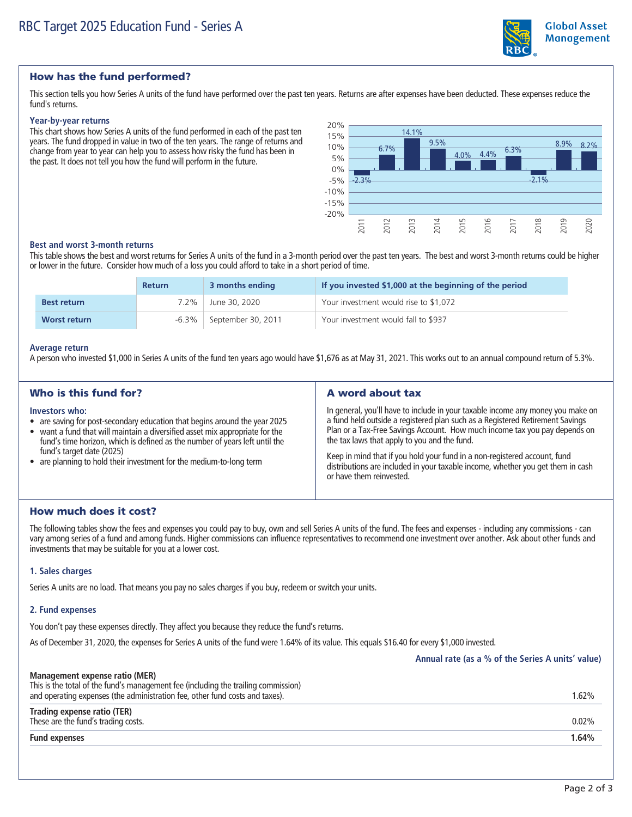

## **Global Asset Management**

### How has the fund performed?

**This section tells you how Series A units of the fund have performed over the past ten years. Returns are after expenses have been deducted. These expenses reduce the fund's returns.**

#### **Year-by-year returns**

**This chart shows how Series A units of the fund performed in each of the past ten years. The fund dropped in value in two of the ten years. The range of returns and change from year to year can help you to assess how risky the fund has been in the past. It does not tell you how the fund will perform in the future.**



#### **Best and worst 3-month returns**

**This table shows the best and worst returns for Series A units of the fund in a 3-month period over the past ten years. The best and worst 3-month returns could be higher or lower in the future. Consider how much of a loss you could afford to take in a short period of time.**

|                     | <b>Return</b> | 3 months ending    | If you invested \$1,000 at the beginning of the period |
|---------------------|---------------|--------------------|--------------------------------------------------------|
| <b>Best return</b>  | $7.2\%$       | June 30, 2020      | Your investment would rise to \$1,072                  |
| <b>Worst return</b> | -6.3%         | September 30, 2011 | Your investment would fall to \$937                    |

#### **Average return**

**A person who invested \$1,000 in Series A units of the fund ten years ago would have \$1,676 as at May 31, 2021. This works out to an annual compound return of 5.3%.**

| Who is this fund for?                                                                                                                                                                                                                                                                                                                                           | A word about tax                                                                                                                                                                                                                                                                                                                                                                                                                                                                           |
|-----------------------------------------------------------------------------------------------------------------------------------------------------------------------------------------------------------------------------------------------------------------------------------------------------------------------------------------------------------------|--------------------------------------------------------------------------------------------------------------------------------------------------------------------------------------------------------------------------------------------------------------------------------------------------------------------------------------------------------------------------------------------------------------------------------------------------------------------------------------------|
| Investors who:<br>• are saving for post-secondary education that begins around the year 2025<br>• want a fund that will maintain a diversified asset mix appropriate for the<br>fund's time horizon, which is defined as the number of years left until the<br>fund's target date (2025)<br>• are planning to hold their investment for the medium-to-long term | In general, you'll have to include in your taxable income any money you make on<br>a fund held outside a registered plan such as a Registered Retirement Savings<br>Plan or a Tax-Free Savings Account. How much income tax you pay depends on<br>the tax laws that apply to you and the fund.<br>Keep in mind that if you hold your fund in a non-registered account, fund<br>distributions are included in your taxable income, whether you get them in cash<br>or have them reinvested. |

### How much does it cost?

**The following tables show the fees and expenses you could pay to buy, own and sell Series A units of the fund. The fees and expenses - including any commissions - can vary among series of a fund and among funds. Higher commissions can influence representatives to recommend one investment over another. Ask about other funds and investments that may be suitable for you at a lower cost.**

#### **1. Sales charges**

**Series A units are no load. That means you pay no sales charges if you buy, redeem or switch your units.**

#### **2. Fund expenses**

**You don't pay these expenses directly. They affect you because they reduce the fund's returns.**

**As of December 31, 2020, the expenses for Series A units of the fund were 1.64% of its value. This equals \$16.40 for every \$1,000 invested.**

**Annual rate (as a % of the Series A units' value)**

| Management expense ratio (MER)<br>This is the total of the fund's management fee (including the trailing commission)<br>and operating expenses (the administration fee, other fund costs and taxes). | 1.62%    |
|------------------------------------------------------------------------------------------------------------------------------------------------------------------------------------------------------|----------|
| Trading expense ratio (TER)<br>These are the fund's trading costs.                                                                                                                                   | $0.02\%$ |
| <b>Fund expenses</b>                                                                                                                                                                                 | 1.64%    |